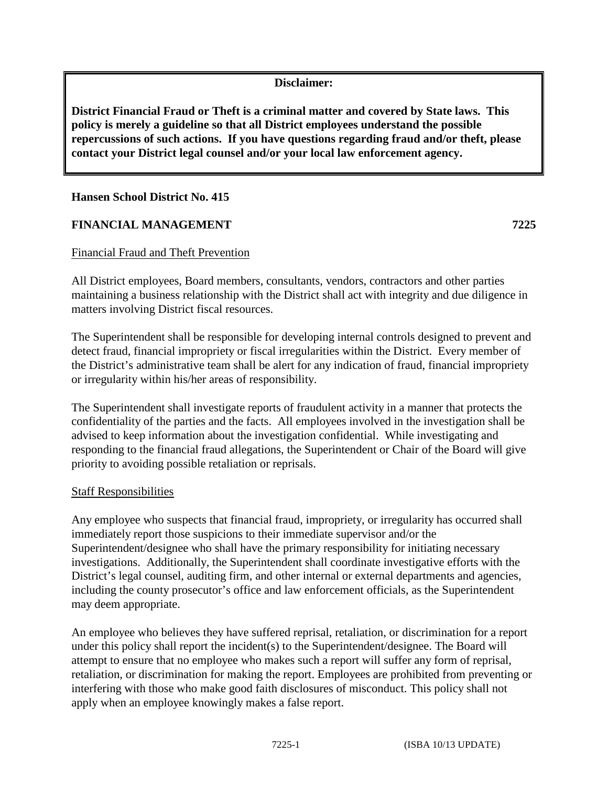## **Disclaimer:**

**District Financial Fraud or Theft is a criminal matter and covered by State laws. This policy is merely a guideline so that all District employees understand the possible repercussions of such actions. If you have questions regarding fraud and/or theft, please contact your District legal counsel and/or your local law enforcement agency.** 

#### **Hansen School District No. 415**

## **FINANCIAL MANAGEMENT 7225**

#### Financial Fraud and Theft Prevention

All District employees, Board members, consultants, vendors, contractors and other parties maintaining a business relationship with the District shall act with integrity and due diligence in matters involving District fiscal resources.

The Superintendent shall be responsible for developing internal controls designed to prevent and detect fraud, financial impropriety or fiscal irregularities within the District. Every member of the District's administrative team shall be alert for any indication of fraud, financial impropriety or irregularity within his/her areas of responsibility.

The Superintendent shall investigate reports of fraudulent activity in a manner that protects the confidentiality of the parties and the facts. All employees involved in the investigation shall be advised to keep information about the investigation confidential. While investigating and responding to the financial fraud allegations, the Superintendent or Chair of the Board will give priority to avoiding possible retaliation or reprisals.

#### Staff Responsibilities

Any employee who suspects that financial fraud, impropriety, or irregularity has occurred shall immediately report those suspicions to their immediate supervisor and/or the Superintendent/designee who shall have the primary responsibility for initiating necessary investigations. Additionally, the Superintendent shall coordinate investigative efforts with the District's legal counsel, auditing firm, and other internal or external departments and agencies, including the county prosecutor's office and law enforcement officials, as the Superintendent may deem appropriate.

An employee who believes they have suffered reprisal, retaliation, or discrimination for a report under this policy shall report the incident(s) to the Superintendent/designee. The Board will attempt to ensure that no employee who makes such a report will suffer any form of reprisal, retaliation, or discrimination for making the report. Employees are prohibited from preventing or interfering with those who make good faith disclosures of misconduct. This policy shall not apply when an employee knowingly makes a false report.